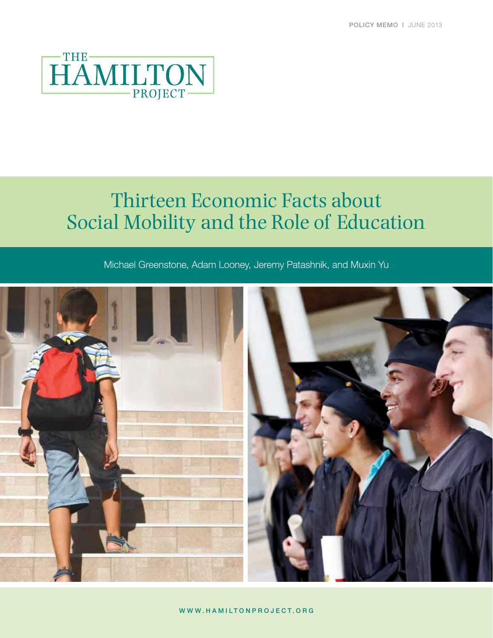

# Thirteen Economic Facts about Social Mobility and the Role of Education

Michael Greenstone, Adam Looney, Jeremy Patashnik, and Muxin Yu



www.HAMILTONPROJECT.ORG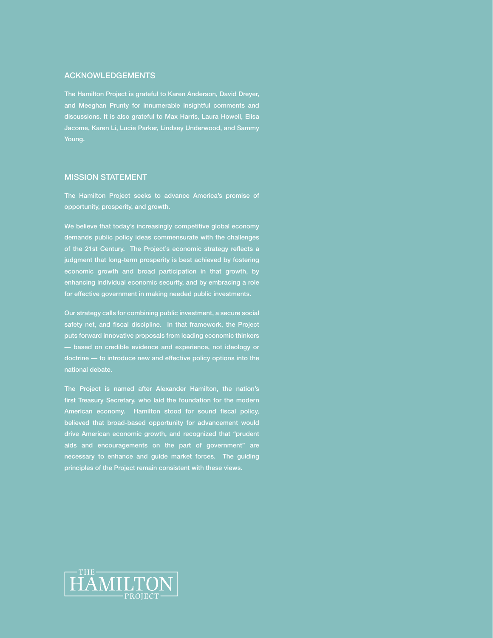#### ACKNOWLEDGEMENTS

The Hamilton Project is grateful to Karen Anderson, David Dreyer, and Meeghan Prunty for innumerable insightful comments and discussions. It is also grateful to Max Harris, Laura Howell, Elisa Jacome, Karen Li, Lucie Parker, Lindsey Underwood, and Sammy Young.

#### MISSION STATEMENT

The Hamilton Project seeks to advance America's promise of opportunity, prosperity, and growth.

We believe that today's increasingly competitive global economy demands public policy ideas commensurate with the challenges of the 21st Century. The Project's economic strategy reflects a judgment that long-term prosperity is best achieved by fostering economic growth and broad participation in that growth, by enhancing individual economic security, and by embracing a role for effective government in making needed public investments.

Our strategy calls for combining public investment, a secure social safety net, and fiscal discipline. In that framework, the Project puts forward innovative proposals from leading economic thinkers — based on credible evidence and experience, not ideology or doctrine — to introduce new and effective policy options into the

The Project is named after Alexander Hamilton, the nation's first Treasury Secretary, who laid the foundation for the modern American economy. Hamilton stood for sound fiscal policy, believed that broad-based opportunity for advancement would drive American economic growth, and recognized that "prudent aids and encouragements on the part of government" are necessary to enhance and guide market forces. The guiding principles of the Project remain consistent with these views.

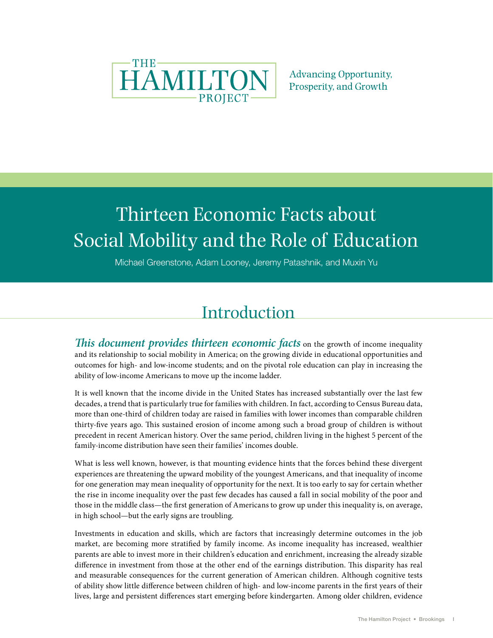

**Advancing Opportunity, Prosperity, and Growth** 

# Thirteen Economic Facts about Social Mobility and the Role of Education

Michael Greenstone, Adam Looney, Jeremy Patashnik, and Muxin Yu

## Introduction

*This document provides thirteen economic facts* on the growth of income inequality and its relationship to social mobility in America; on the growing divide in educational opportunities and outcomes for high- and low-income students; and on the pivotal role education can play in increasing the ability of low-income Americans to move up the income ladder.

It is well known that the income divide in the United States has increased substantially over the last few decades, a trend that is particularly true for families with children. In fact, according to Census Bureau data, more than one-third of children today are raised in families with lower incomes than comparable children thirty-five years ago. This sustained erosion of income among such a broad group of children is without precedent in recent American history. Over the same period, children living in the highest 5 percent of the family-income distribution have seen their families' incomes double.

What is less well known, however, is that mounting evidence hints that the forces behind these divergent experiences are threatening the upward mobility of the youngest Americans, and that inequality of income for one generation may mean inequality of opportunity for the next. It is too early to say for certain whether the rise in income inequality over the past few decades has caused a fall in social mobility of the poor and those in the middle class—the first generation of Americans to grow up under this inequality is, on average, in high school—but the early signs are troubling.

Investments in education and skills, which are factors that increasingly determine outcomes in the job market, are becoming more stratified by family income. As income inequality has increased, wealthier parents are able to invest more in their children's education and enrichment, increasing the already sizable difference in investment from those at the other end of the earnings distribution. This disparity has real and measurable consequences for the current generation of American children. Although cognitive tests of ability show little difference between children of high- and low-income parents in the first years of their lives, large and persistent differences start emerging before kindergarten. Among older children, evidence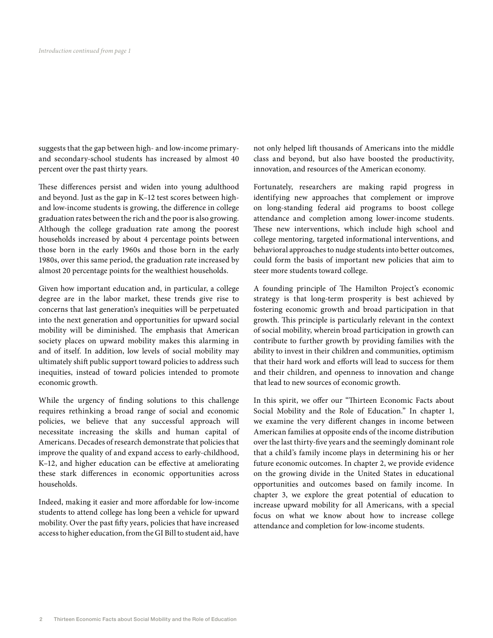suggests that the gap between high- and low-income primaryand secondary-school students has increased by almost 40 percent over the past thirty years.

These differences persist and widen into young adulthood and beyond. Just as the gap in K–12 test scores between highand low-income students is growing, the difference in college graduation rates between the rich and the poor is also growing. Although the college graduation rate among the poorest households increased by about 4 percentage points between those born in the early 1960s and those born in the early 1980s, over this same period, the graduation rate increased by almost 20 percentage points for the wealthiest households.

Given how important education and, in particular, a college degree are in the labor market, these trends give rise to concerns that last generation's inequities will be perpetuated into the next generation and opportunities for upward social mobility will be diminished. The emphasis that American society places on upward mobility makes this alarming in and of itself. In addition, low levels of social mobility may ultimately shift public support toward policies to address such inequities, instead of toward policies intended to promote economic growth.

While the urgency of finding solutions to this challenge requires rethinking a broad range of social and economic policies, we believe that any successful approach will necessitate increasing the skills and human capital of Americans. Decades of research demonstrate that policies that improve the quality of and expand access to early-childhood, K–12, and higher education can be effective at ameliorating these stark differences in economic opportunities across households.

Indeed, making it easier and more affordable for low-income students to attend college has long been a vehicle for upward mobility. Over the past fifty years, policies that have increased access to higher education, from the GI Bill to student aid, have not only helped lift thousands of Americans into the middle class and beyond, but also have boosted the productivity, innovation, and resources of the American economy.

Fortunately, researchers are making rapid progress in identifying new approaches that complement or improve on long-standing federal aid programs to boost college attendance and completion among lower-income students. These new interventions, which include high school and college mentoring, targeted informational interventions, and behavioral approaches to nudge students into better outcomes, could form the basis of important new policies that aim to steer more students toward college.

A founding principle of The Hamilton Project's economic strategy is that long-term prosperity is best achieved by fostering economic growth and broad participation in that growth. This principle is particularly relevant in the context of social mobility, wherein broad participation in growth can contribute to further growth by providing families with the ability to invest in their children and communities, optimism that their hard work and efforts will lead to success for them and their children, and openness to innovation and change that lead to new sources of economic growth.

In this spirit, we offer our "Thirteen Economic Facts about Social Mobility and the Role of Education." In chapter 1, we examine the very different changes in income between American families at opposite ends of the income distribution over the last thirty-five years and the seemingly dominant role that a child's family income plays in determining his or her future economic outcomes. In chapter 2, we provide evidence on the growing divide in the United States in educational opportunities and outcomes based on family income. In chapter 3, we explore the great potential of education to increase upward mobility for all Americans, with a special focus on what we know about how to increase college attendance and completion for low-income students.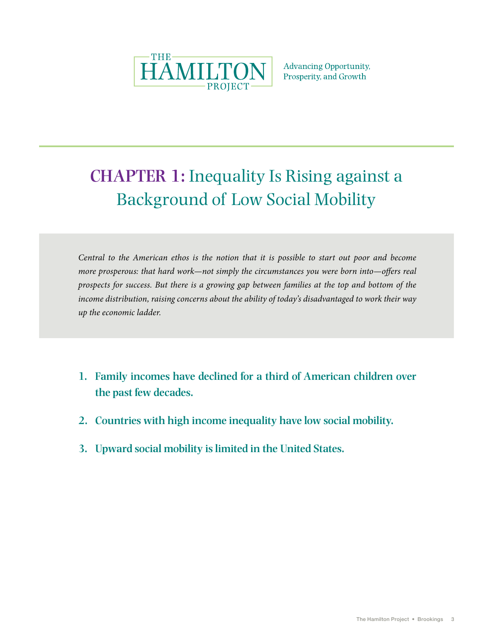

**Advancing Opportunity,** Prosperity, and Growth

# **CHAPTER 1:** Inequality Is Rising against a Background of Low Social Mobility

*Central to the American ethos is the notion that it is possible to start out poor and become more prosperous: that hard work—not simply the circumstances you were born into—offers real prospects for success. But there is a growing gap between families at the top and bottom of the income distribution, raising concerns about the ability of today's disadvantaged to work their way up the economic ladder.*

- **1. Family incomes have declined for a third of American children over the past few decades.**
- **2. Countries with high income inequality have low social mobility.**
- **3. Upward social mobility is limited in the United States.**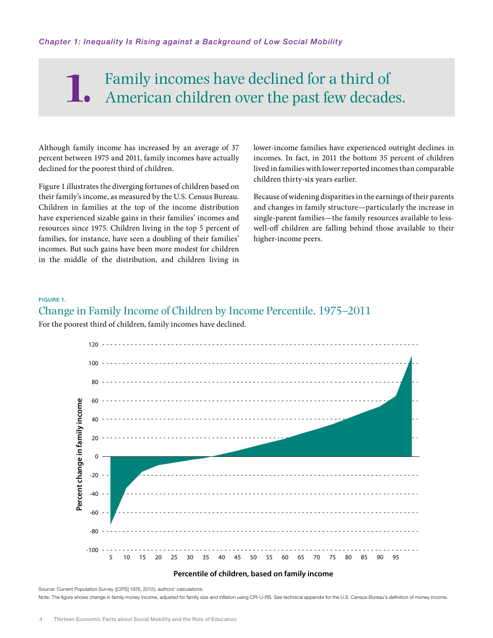### Family incomes have declined for a third of American children over the past few decades. **1.**

Although family income has increased by an average of 37 percent between 1975 and 2011, family incomes have actually declined for the poorest third of children.

Figure 1 illustrates the diverging fortunes of children based on their family's income, as measured by the U.S. Census Bureau. Children in families at the top of the income distribution have experienced sizable gains in their families' incomes and resources since 1975. Children living in the top 5 percent of families, for instance, have seen a doubling of their families' incomes. But such gains have been more modest for children in the middle of the distribution, and children living in

lower-income families have experienced outright declines in incomes. In fact, in 2011 the bottom 35 percent of children lived in families with lower reported incomes than comparable children thirty-six years earlier.

Because of widening disparities in the earnings of their parents and changes in family structure—particularly the increase in single-parent families—the family resources available to lesswell-off children are falling behind those available to their higher-income peers.

#### Figure 1.

#### Change in Family Income of Children by Income Percentile, 1975–2011

For the poorest third of children, family incomes have declined.



#### **Percentile of children, based on family income**

Source: Current Population Survey ([CPS] 1976, 2012); authors' calculations.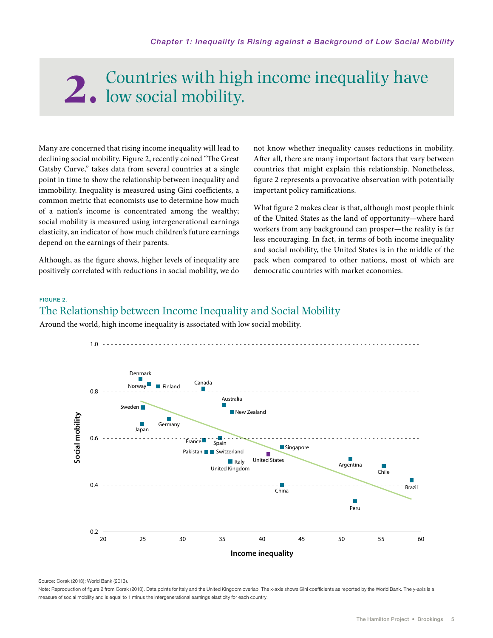# Countries with high income inequality have **2.** low social mobility.

Many are concerned that rising income inequality will lead to declining social mobility. Figure 2, recently coined "The Great Gatsby Curve," takes data from several countries at a single point in time to show the relationship between inequality and immobility. Inequality is measured using Gini coefficients, a common metric that economists use to determine how much of a nation's income is concentrated among the wealthy; social mobility is measured using intergenerational earnings elasticity, an indicator of how much children's future earnings depend on the earnings of their parents.

Although, as the figure shows, higher levels of inequality are positively correlated with reductions in social mobility, we do not know whether inequality causes reductions in mobility. After all, there are many important factors that vary between countries that might explain this relationship. Nonetheless, figure 2 represents a provocative observation with potentially important policy ramifications.

What figure 2 makes clear is that, although most people think of the United States as the land of opportunity—where hard workers from any background can prosper—the reality is far less encouraging. In fact, in terms of both income inequality and social mobility, the United States is in the middle of the pack when compared to other nations, most of which are democratic countries with market economies.

#### Figure 2.

#### The Relationship between Income Inequality and Social Mobility

Around the world, high income inequality is associated with low social mobility.



Source: Corak (2013); World Bank (2013).

Note: Reproduction of figure 2 from Corak (2013). Data points for Italy and the United Kingdom overlap. The x-axis shows Gini coefficients as reported by the World Bank. The y-axis is a measure of social mobility and is equal to 1 minus the intergenerational earnings elasticity for each country.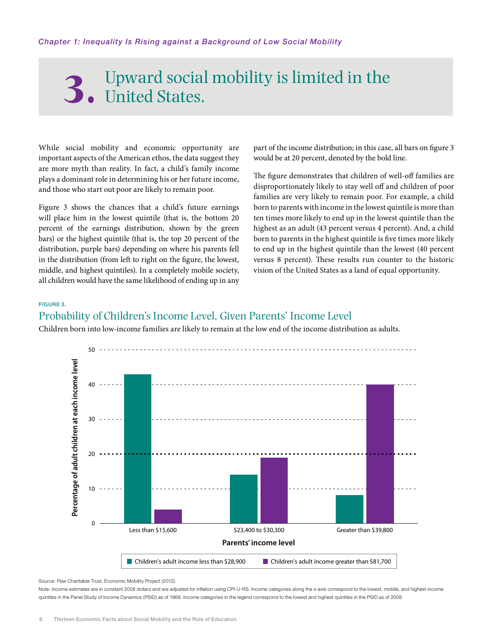# Upward social mobility is limited in the **3.** United States.

While social mobility and economic opportunity are important aspects of the American ethos, the data suggest they are more myth than reality. In fact, a child's family income plays a dominant role in determining his or her future income, and those who start out poor are likely to remain poor.

Figure 3 shows the chances that a child's future earnings will place him in the lowest quintile (that is, the bottom 20 percent of the earnings distribution, shown by the green bars) or the highest quintile (that is, the top 20 percent of the distribution, purple bars) depending on where his parents fell in the distribution (from left to right on the figure, the lowest, middle, and highest quintiles). In a completely mobile society, all children would have the same likelihood of ending up in any part of the income distribution; in this case, all bars on figure 3 would be at 20 percent, denoted by the bold line.

The figure demonstrates that children of well-off families are disproportionately likely to stay well off and children of poor families are very likely to remain poor. For example, a child born to parents with income in the lowest quintile is more than ten times more likely to end up in the lowest quintile than the highest as an adult (43 percent versus 4 percent). And, a child born to parents in the highest quintile is five times more likely to end up in the highest quintile than the lowest (40 percent versus 8 percent). These results run counter to the historic vision of the United States as a land of equal opportunity.

#### Figure 3.

#### Probability of Children's Income Level, Given Parents' Income Level

Children born into low-income families are likely to remain at the low end of the income distribution as adults.



Source: Pew Charitable Trust, Economic Mobility Project (2012).

Note: Income estimates are in constant 2008 dollars and are adjusted for inflation using CPI-U-RS. Income categories along the x-axis correspond to the lowest, middle, and highest income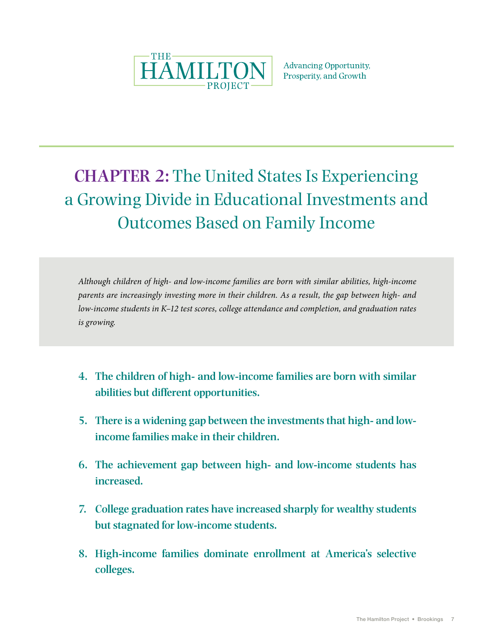

**Advancing Opportunity,** Prosperity, and Growth

# **CHAPTER 2:** The United States Is Experiencing a Growing Divide in Educational Investments and Outcomes Based on Family Income

*Although children of high- and low-income families are born with similar abilities, high-income parents are increasingly investing more in their children. As a result, the gap between high- and low-income students in K–12 test scores, college attendance and completion, and graduation rates is growing.*

- **4. The children of high- and low-income families are born with similar abilities but different opportunities.**
- **5. There is a widening gap between the investments that high- and lowincome families make in their children.**
- **6. The achievement gap between high- and low-income students has increased.**
- **7. College graduation rates have increased sharply for wealthy students but stagnated for low-income students.**
- **8. High-income families dominate enrollment at America's selective colleges.**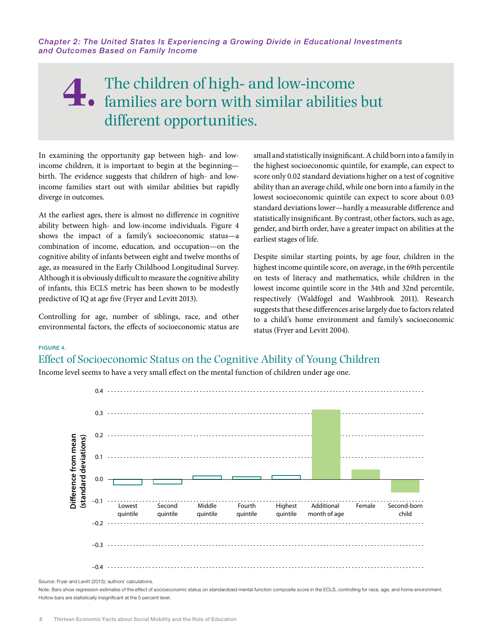### The children of high- and low-income families are born with similar abilities but different opportunities. **4.**

In examining the opportunity gap between high- and lowincome children, it is important to begin at the beginning birth. The evidence suggests that children of high- and lowincome families start out with similar abilities but rapidly diverge in outcomes.

At the earliest ages, there is almost no difference in cognitive ability between high- and low-income individuals. Figure 4 shows the impact of a family's socioeconomic status—a combination of income, education, and occupation—on the cognitive ability of infants between eight and twelve months of age, as measured in the Early Childhood Longitudinal Survey. Although it is obviously difficult to measure the cognitive ability of infants, this ECLS metric has been shown to be modestly predictive of IQ at age five (Fryer and Levitt 2013).

Controlling for age, number of siblings, race, and other environmental factors, the effects of socioeconomic status are small and statistically insignificant. A child born into a family in the highest socioeconomic quintile, for example, can expect to score only 0.02 standard deviations higher on a test of cognitive ability than an average child, while one born into a family in the lowest socioeconomic quintile can expect to score about 0.03 standard deviations lower—hardly a measurable difference and statistically insignificant. By contrast, other factors, such as age, gender, and birth order, have a greater impact on abilities at the earliest stages of life.

Despite similar starting points, by age four, children in the highest income quintile score, on average, in the 69th percentile on tests of literacy and mathematics, while children in the lowest income quintile score in the 34th and 32nd percentile, respectively (Waldfogel and Washbrook 2011). Research suggests that these differences arise largely due to factors related to a child's home environment and family's socioeconomic status (Fryer and Levitt 2004).

#### Figure 4.

#### Effect of Socioeconomic Status on the Cognitive Ability of Young Children

Income level seems to have a very small effect on the mental function of children under age one.



Source: Fryer and Levitt (2013); authors' calculations.

Note: Bars show regression estimates of the effect of socioeconomic status on standardized mental function composite score in the ECLS, controlling for race, age, and home environment.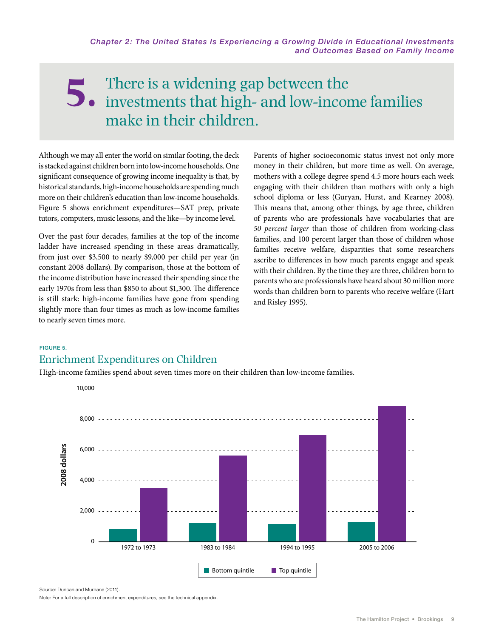### There is a widening gap between the investments that high- and low-income families make in their children. **5.**

Although we may all enter the world on similar footing, the deck is stacked against children born into low-income households. One significant consequence of growing income inequality is that, by historical standards, high-income households are spending much more on their children's education than low-income households. Figure 5 shows enrichment expenditures—SAT prep, private tutors, computers, music lessons, and the like—by income level.

Over the past four decades, families at the top of the income ladder have increased spending in these areas dramatically, from just over \$3,500 to nearly \$9,000 per child per year (in constant 2008 dollars). By comparison, those at the bottom of the income distribution have increased their spending since the early 1970s from less than \$850 to about \$1,300. The difference is still stark: high-income families have gone from spending slightly more than four times as much as low-income families to nearly seven times more.

Parents of higher socioeconomic status invest not only more money in their children, but more time as well. On average, mothers with a college degree spend 4.5 more hours each week engaging with their children than mothers with only a high school diploma or less (Guryan, Hurst, and Kearney 2008). This means that, among other things, by age three, children of parents who are professionals have vocabularies that are *50 percent larger* than those of children from working-class families, and 100 percent larger than those of children whose families receive welfare, disparities that some researchers ascribe to differences in how much parents engage and speak with their children. By the time they are three, children born to parents who are professionals have heard about 30 million more words than children born to parents who receive welfare (Hart and Risley 1995).

#### Figure 5.

#### Enrichment Expenditures on Children

High-income families spend about seven times more on their children than low-income families.



Source: Duncan and Murnane (2011).

Note: For a full description of enrichment expenditures, see the technical appendix.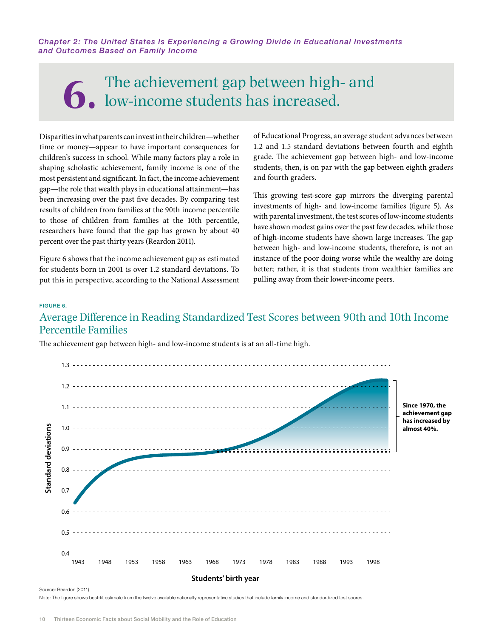# The achievement gap between high- and low-income students has increased.

Disparities in what parents can invest in their children—whether time or money—appear to have important consequences for children's success in school. While many factors play a role in shaping scholastic achievement, family income is one of the most persistent and significant. In fact, the income achievement gap—the role that wealth plays in educational attainment—has been increasing over the past five decades. By comparing test results of children from families at the 90th income percentile to those of children from families at the 10th percentile, researchers have found that the gap has grown by about 40 percent over the past thirty years (Reardon 2011).

Figure 6 shows that the income achievement gap as estimated for students born in 2001 is over 1.2 standard deviations. To put this in perspective, according to the National Assessment of Educational Progress, an average student advances between 1.2 and 1.5 standard deviations between fourth and eighth grade. The achievement gap between high- and low-income students, then, is on par with the gap between eighth graders and fourth graders.

This growing test-score gap mirrors the diverging parental investments of high- and low-income families (figure 5). As with parental investment, the test scores of low-income students have shown modest gains over the past few decades, while those of high-income students have shown large increases. The gap between high- and low-income students, therefore, is not an instance of the poor doing worse while the wealthy are doing better; rather, it is that students from wealthier families are pulling away from their lower-income peers.

#### Figure 6.

#### Average Difference in Reading Standardized Test Scores between 90th and 10th Income Percentile Families





Source: Reardon (2011).

Note: The figure shows best-fit estimate from the twelve available nationally representative studies that include family income and standardized test scores.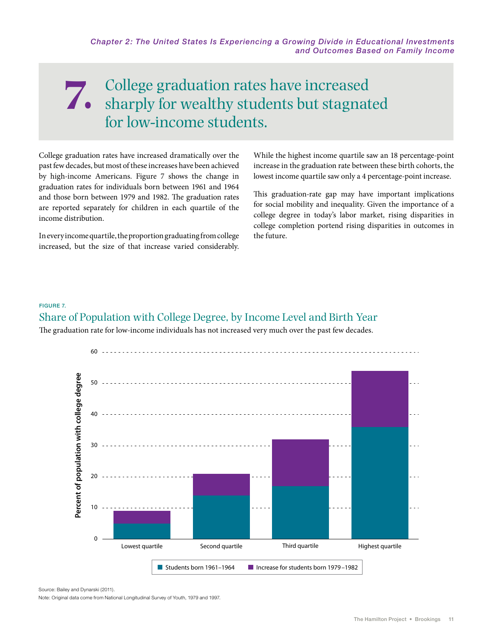### College graduation rates have increased sharply for wealthy students but stagnated for low-income students. **7.**

College graduation rates have increased dramatically over the past few decades, but most of these increases have been achieved by high-income Americans. Figure 7 shows the change in graduation rates for individuals born between 1961 and 1964 and those born between 1979 and 1982. The graduation rates are reported separately for children in each quartile of the income distribution.

In every income quartile, the proportion graduating from college increased, but the size of that increase varied considerably.

While the highest income quartile saw an 18 percentage-point increase in the graduation rate between these birth cohorts, the lowest income quartile saw only a 4 percentage-point increase.

This graduation-rate gap may have important implications for social mobility and inequality. Given the importance of a college degree in today's labor market, rising disparities in college completion portend rising disparities in outcomes in the future.

#### Figure 7.

#### Share of Population with College Degree, by Income Level and Birth Year

The graduation rate for low-income individuals has not increased very much over the past few decades.



Source: Bailey and Dynarski (2011).

Note: Original data come from National Longitudinal Survey of Youth, 1979 and 1997.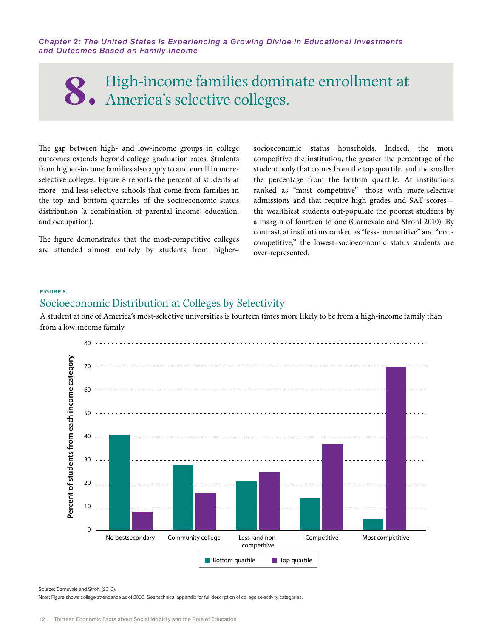# High-income families dominate enrollment at **8.** America's selective colleges.

The gap between high- and low-income groups in college outcomes extends beyond college graduation rates. Students from higher-income families also apply to and enroll in moreselective colleges. Figure 8 reports the percent of students at more- and less-selective schools that come from families in the top and bottom quartiles of the socioeconomic status distribution (a combination of parental income, education, and occupation).

The figure demonstrates that the most-competitive colleges are attended almost entirely by students from higher–

socioeconomic status households. Indeed, the more competitive the institution, the greater the percentage of the student body that comes from the top quartile, and the smaller the percentage from the bottom quartile. At institutions ranked as "most competitive"—those with more-selective admissions and that require high grades and SAT scores the wealthiest students out-populate the poorest students by a margin of fourteen to one (Carnevale and Strohl 2010). By contrast, at institutions ranked as "less-competitive" and "noncompetitive," the lowest–socioeconomic status students are over-represented.

#### Figure 8.

#### Socioeconomic Distribution at Colleges by Selectivity

A student at one of America's most-selective universities is fourteen times more likely to be from a high-income family than from a low-income family.



Source: Carnevale and Strohl (2010).

Note: Figure shows college attendance as of 2006. See technical appendix for full description of college selectivity categories.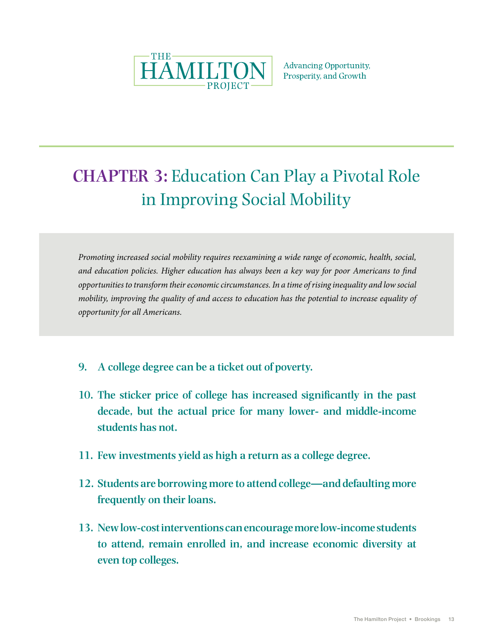

**Advancing Opportunity,** Prosperity, and Growth

# **CHAPTER 3:** Education Can Play a Pivotal Role in Improving Social Mobility

*Promoting increased social mobility requires reexamining a wide range of economic, health, social, and education policies. Higher education has always been a key way for poor Americans to find opportunities to transform their economic circumstances. In a time of rising inequality and low social mobility, improving the quality of and access to education has the potential to increase equality of opportunity for all Americans.*

- **9. A college degree can be a ticket out of poverty.**
- **10. The sticker price of college has increased significantly in the past decade, but the actual price for many lower- and middle-income students has not.**
- **11. Few investments yield as high a return as a college degree.**
- **12. Students are borrowing more to attend college—and defaulting more frequently on their loans.**
- **13. New low-cost interventions can encourage more low-income students to attend, remain enrolled in, and increase economic diversity at even top colleges.**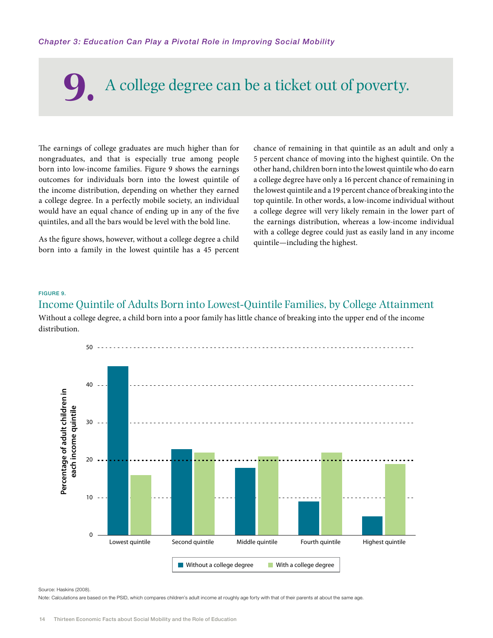# **9.** A college degree can be a ticket out of poverty.

The earnings of college graduates are much higher than for nongraduates, and that is especially true among people born into low-income families. Figure 9 shows the earnings outcomes for individuals born into the lowest quintile of the income distribution, depending on whether they earned a college degree. In a perfectly mobile society, an individual would have an equal chance of ending up in any of the five quintiles, and all the bars would be level with the bold line.

As the figure shows, however, without a college degree a child born into a family in the lowest quintile has a 45 percent

chance of remaining in that quintile as an adult and only a 5 percent chance of moving into the highest quintile. On the other hand, children born into the lowest quintile who do earn a college degree have only a 16 percent chance of remaining in the lowest quintile and a 19 percent chance of breaking into the top quintile. In other words, a low-income individual without a college degree will very likely remain in the lower part of the earnings distribution, whereas a low-income individual with a college degree could just as easily land in any income quintile—including the highest.

#### Figure 9.

#### Income Quintile of Adults Born into Lowest-Quintile Families, by College Attainment

Without a college degree, a child born into a poor family has little chance of breaking into the upper end of the income distribution.



#### Source: Haskins (2008).

Note: Calculations are based on the PSID, which compares children's adult income at roughly age forty with that of their parents at about the same age.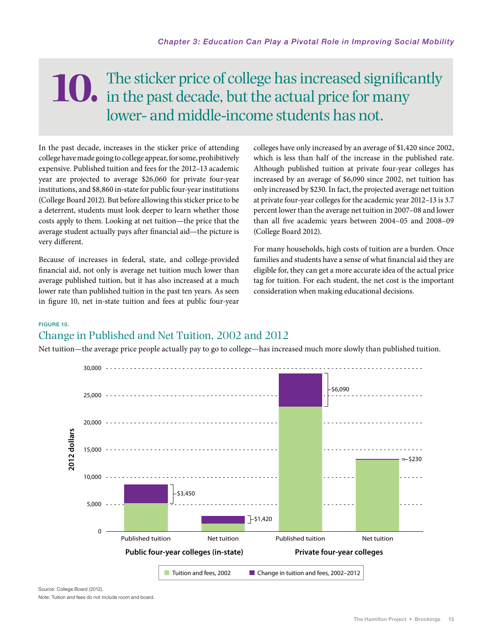# The sticker price of college has increased significantly **10.** The sticker price of college has increased signification in the past decade, but the actual price for many lower- and middle-income students has not.

In the past decade, increases in the sticker price of attending college have made going to college appear, for some, prohibitively expensive. Published tuition and fees for the 2012–13 academic year are projected to average \$26,060 for private four-year institutions, and \$8,860 in-state for public four-year institutions (College Board 2012). But before allowing this sticker price to be a deterrent, students must look deeper to learn whether those costs apply to them. Looking at net tuition—the price that the average student actually pays after financial aid—the picture is very different.

Because of increases in federal, state, and college-provided financial aid, not only is average net tuition much lower than average published tuition, but it has also increased at a much lower rate than published tuition in the past ten years. As seen in figure 10, net in-state tuition and fees at public four-year colleges have only increased by an average of \$1,420 since 2002, which is less than half of the increase in the published rate. Although published tuition at private four-year colleges has increased by an average of \$6,090 since 2002, net tuition has only increased by \$230. In fact, the projected average net tuition at private four-year colleges for the academic year 2012–13 is 3.7 percent lower than the average net tuition in 2007–08 and lower than all five academic years between 2004–05 and 2008–09 (College Board 2012).

For many households, high costs of tuition are a burden. Once families and students have a sense of what financial aid they are eligible for, they can get a more accurate idea of the actual price tag for tuition. For each student, the net cost is the important consideration when making educational decisions.

#### Figure 10.

### Change in Published and Net Tuition, 2002 and 2012

Net tuition—the average price people actually pay to go to college—has increased much more slowly than published tuition.



Source: College Board (2012). Note: Tuition and fees do not include room and board.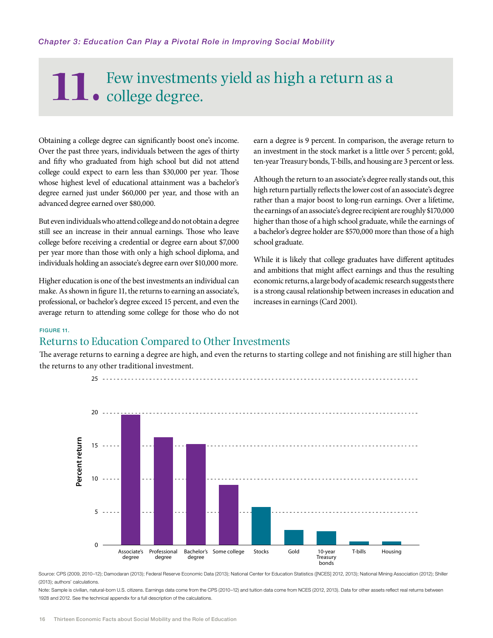# The Few investments yield as high a return as a college degree.

Obtaining a college degree can significantly boost one's income. Over the past three years, individuals between the ages of thirty and fifty who graduated from high school but did not attend college could expect to earn less than \$30,000 per year. Those whose highest level of educational attainment was a bachelor's degree earned just under \$60,000 per year, and those with an advanced degree earned over \$80,000.

But even individuals who attend college and do not obtain a degree still see an increase in their annual earnings. Those who leave college before receiving a credential or degree earn about \$7,000 per year more than those with only a high school diploma, and individuals holding an associate's degree earn over \$10,000 more.

Higher education is one of the best investments an individual can make. As shown in figure 11, the returns to earning an associate's, professional, or bachelor's degree exceed 15 percent, and even the average return to attending some college for those who do not

earn a degree is 9 percent. In comparison, the average return to an investment in the stock market is a little over 5 percent; gold, ten-year Treasury bonds, T-bills, and housing are 3 percent or less.

Although the return to an associate's degree really stands out, this high return partially reflects the lower cost of an associate's degree rather than a major boost to long-run earnings. Over a lifetime, the earnings of an associate's degree recipient are roughly \$170,000 higher than those of a high school graduate, while the earnings of a bachelor's degree holder are \$570,000 more than those of a high school graduate.

While it is likely that college graduates have different aptitudes and ambitions that might affect earnings and thus the resulting economic returns, a large body of academic research suggests there is a strong causal relationship between increases in education and increases in earnings (Card 2001).

#### Figure 11.

#### Returns to Education Compared to Other Investments

The average returns to earning a degree are high, and even the returns to starting college and not finishing are still higher than the returns to any other traditional investment.



25

Source: CPS (2009, 2010-12); Damodaran (2013); Federal Reserve Economic Data (2013); National Center for Education Statistics ([NCES] 2012, 2013); National Mining Association (2012); Shiller (2013); authors' calculations.

Note: Sample is civilian, natural-born U.S. citizens. Earnings data come from the CPS (2010-12) and tuition data come from NCES (2012, 2013). Data for other assets reflect real returns between 1928 and 2012. See the technical appendix for a full description of the calculations.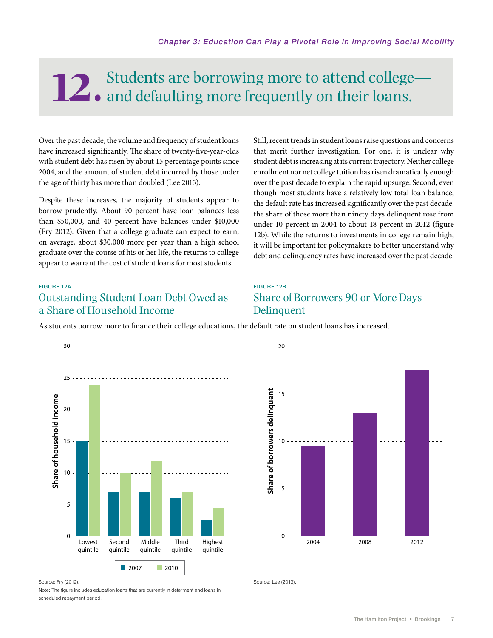# **12.** Students are borrowing more to attend college-<br>and defaulting more frequently on their loans.

Over the past decade, the volume and frequency of student loans have increased significantly. The share of twenty-five-year-olds with student debt has risen by about 15 percentage points since 2004, and the amount of student debt incurred by those under the age of thirty has more than doubled (Lee 2013).

Despite these increases, the majority of students appear to borrow prudently. About 90 percent have loan balances less than \$50,000, and 40 percent have balances under \$10,000 (Fry 2012). Given that a college graduate can expect to earn, on average, about \$30,000 more per year than a high school graduate over the course of his or her life, the returns to college appear to warrant the cost of student loans for most students.

Still, recent trends in student loans raise questions and concerns that merit further investigation. For one, it is unclear why student debt is increasing at its current trajectory. Neither college enrollment nor net college tuition has risen dramatically enough over the past decade to explain the rapid upsurge. Second, even though most students have a relatively low total loan balance, the default rate has increased significantly over the past decade: the share of those more than ninety days delinquent rose from under 10 percent in 2004 to about 18 percent in 2012 (figure 12b). While the returns to investments in college remain high, it will be important for policymakers to better understand why debt and delinquency rates have increased over the past decade.

#### Figure 12A.

#### Outstanding Student Loan Debt Owed as a Share of Household Income

#### Figure 12B.

#### Share of Borrowers 90 or More Days Delinquent

As students borrow more to finance their college educations, the default rate on student loans has increased.



Source: Fry (2012)

Note: The figure includes education loans that are currently in deferment and loans in scheduled repayment period.



Source: Lee (2013).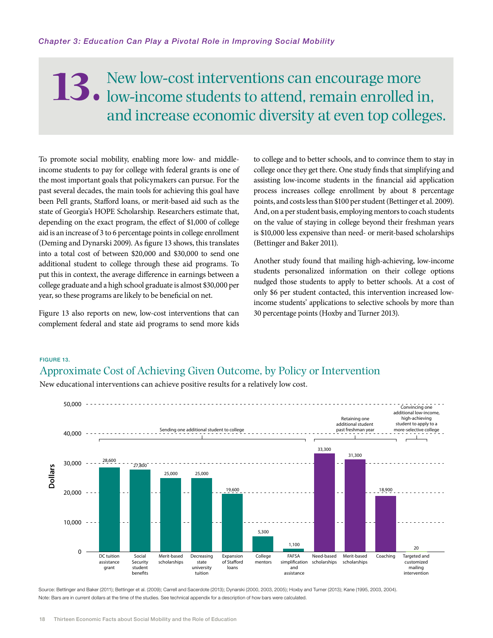## New low-cost interventions can encourage more 13. New low-cost interventions can encourage more low-income students to attend, remain enrolled in, and increase economic diversity at even top colleges.

To promote social mobility, enabling more low- and middleincome students to pay for college with federal grants is one of the most important goals that policymakers can pursue. For the past several decades, the main tools for achieving this goal have been Pell grants, Stafford loans, or merit-based aid such as the state of Georgia's HOPE Scholarship. Researchers estimate that, depending on the exact program, the effect of \$1,000 of college aid is an increase of 3 to 6 percentage points in college enrollment (Deming and Dynarski 2009). As figure 13 shows, this translates into a total cost of between \$20,000 and \$30,000 to send one additional student to college through these aid programs. To put this in context, the average difference in earnings between a college graduate and a high school graduate is almost \$30,000 per year, so these programs are likely to be beneficial on net.

Figure 13 also reports on new, low-cost interventions that can complement federal and state aid programs to send more kids

to college and to better schools, and to convince them to stay in college once they get there. One study finds that simplifying and assisting low-income students in the financial aid application process increases college enrollment by about 8 percentage points, and costs less than \$100 per student (Bettinger et al. 2009). And, on a per student basis, employing mentors to coach students on the value of staying in college beyond their freshman years is \$10,000 less expensive than need- or merit-based scholarships (Bettinger and Baker 2011).

Another study found that mailing high-achieving, low-income students personalized information on their college options nudged those students to apply to better schools. At a cost of only \$6 per student contacted, this intervention increased lowincome students' applications to selective schools by more than 30 percentage points (Hoxby and Turner 2013).

#### Figure 13. Approximate Cost of Achieving Given Outcome, by Policy or Intervention

New educational interventions can achieve positive results for a relatively low cost.



Source: Bettinger and Baker (2011); Bettinger et al. (2009); Carrell and Sacerdote (2013); Dynarski (2000, 2003, 2005); Hoxby and Turner (2013); Kane (1995, 2003, 2004). Note: Bars are in current dollars at the time of the studies. See technical appendix for a description of how bars were calculated.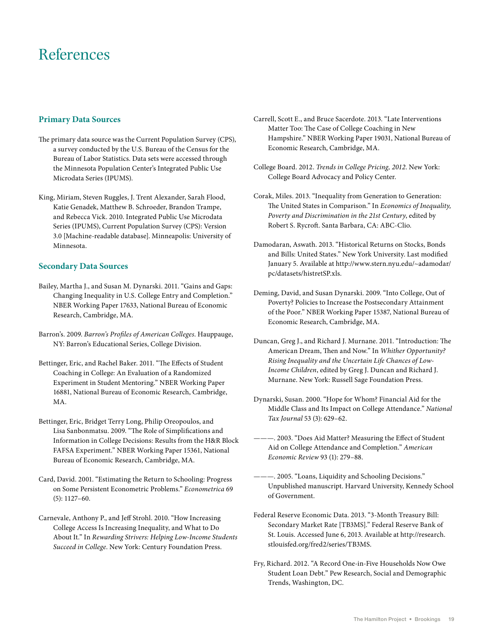## References

#### **Primary Data Sources**

- The primary data source was the Current Population Survey (CPS), a survey conducted by the U.S. Bureau of the Census for the Bureau of Labor Statistics. Data sets were accessed through the Minnesota Population Center's Integrated Public Use Microdata Series (IPUMS).
- King, Miriam, Steven Ruggles, J. Trent Alexander, Sarah Flood, Katie Genadek, Matthew B. Schroeder, Brandon Trampe, and Rebecca Vick. 2010. Integrated Public Use Microdata Series (IPUMS), Current Population Survey (CPS): Version 3.0 [Machine-readable database]. Minneapolis: University of Minnesota.

#### **Secondary Data Sources**

- Bailey, Martha J., and Susan M. Dynarski. 2011. "Gains and Gaps: Changing Inequality in U.S. College Entry and Completion." NBER Working Paper 17633, National Bureau of Economic Research, Cambridge, MA.
- Barron's. 2009. *Barron's Profiles of American Colleges*. Hauppauge, NY: Barron's Educational Series, College Division.
- Bettinger, Eric, and Rachel Baker. 2011. "The Effects of Student Coaching in College: An Evaluation of a Randomized Experiment in Student Mentoring." NBER Working Paper 16881, National Bureau of Economic Research, Cambridge, MA.
- Bettinger, Eric, Bridget Terry Long, Philip Oreopoulos, and Lisa Sanbonmatsu. 2009. "The Role of Simplifications and Information in College Decisions: Results from the H&R Block FAFSA Experiment." NBER Working Paper 15361, National Bureau of Economic Research, Cambridge, MA.
- Card, David. 2001. "Estimating the Return to Schooling: Progress on Some Persistent Econometric Problems." *Econometrica* 69 (5): 1127–60.
- Carnevale, Anthony P., and Jeff Strohl. 2010. "How Increasing College Access Is Increasing Inequality, and What to Do About It." In *Rewarding Strivers: Helping Low-Income Students Succeed in College*. New York: Century Foundation Press.
- Carrell, Scott E., and Bruce Sacerdote. 2013. "Late Interventions Matter Too: The Case of College Coaching in New Hampshire." NBER Working Paper 19031, National Bureau of Economic Research, Cambridge, MA.
- College Board. 2012. *Trends in College Pricing, 2012*. New York: College Board Advocacy and Policy Center.
- Corak, Miles. 2013. "Inequality from Generation to Generation: The United States in Comparison." In *Economics of Inequality, Poverty and Discrimination in the 21st Century*, edited by Robert S. Rycroft. Santa Barbara, CA: ABC-Clio.
- Damodaran, Aswath. 2013. "Historical Returns on Stocks, Bonds and Bills: United States." New York University. Last modified January 5. Available at http://www.stern.nyu.edu/~adamodar/ pc/datasets/histretSP.xls.
- Deming, David, and Susan Dynarski. 2009. "Into College, Out of Poverty? Policies to Increase the Postsecondary Attainment of the Poor." NBER Working Paper 15387, National Bureau of Economic Research, Cambridge, MA.
- Duncan, Greg J., and Richard J. Murnane. 2011. "Introduction: The American Dream, Then and Now." In *Whither Opportunity? Rising Inequality and the Uncertain Life Chances of Low-Income Children*, edited by Greg J. Duncan and Richard J. Murnane. New York: Russell Sage Foundation Press.
- Dynarski, Susan. 2000. "Hope for Whom? Financial Aid for the Middle Class and Its Impact on College Attendance." *National Tax Journal* 53 (3): 629–62.
- ———. 2003. "Does Aid Matter? Measuring the Effect of Student Aid on College Attendance and Completion." *American Economic Review* 93 (1): 279–88.
- ———. 2005. "Loans, Liquidity and Schooling Decisions." Unpublished manuscript. Harvard University, Kennedy School of Government.
- Federal Reserve Economic Data. 2013. "3-Month Treasury Bill: Secondary Market Rate [TB3MS]." Federal Reserve Bank of St. Louis. Accessed June 6, 2013. Available at http://research. stlouisfed.org/fred2/series/TB3MS.
- Fry, Richard. 2012. "A Record One-in-Five Households Now Owe Student Loan Debt." Pew Research, Social and Demographic Trends, Washington, DC.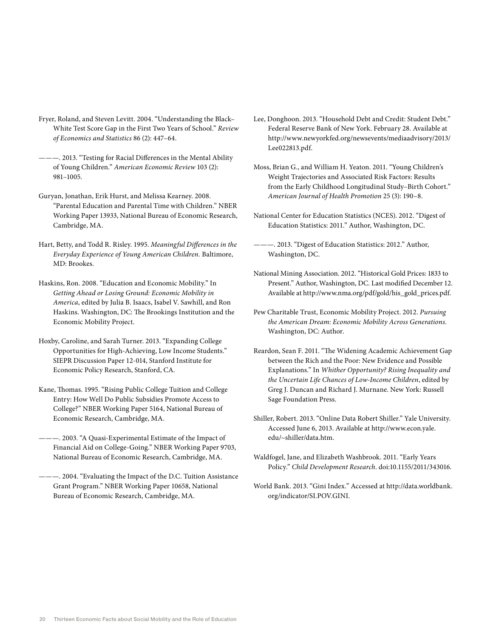- Fryer, Roland, and Steven Levitt. 2004. "Understanding the Black– White Test Score Gap in the First Two Years of School." *Review of Economics and Statistics* 86 (2): 447–64.
- ———. 2013. "Testing for Racial Differences in the Mental Ability of Young Children." *American Economic Review* 103 (2): 981–1005.
- Guryan, Jonathan, Erik Hurst, and Melissa Kearney. 2008. "Parental Education and Parental Time with Children." NBER Working Paper 13933, National Bureau of Economic Research, Cambridge, MA.
- Hart, Betty, and Todd R. Risley. 1995. *Meaningful Differences in the Everyday Experience of Young American Children.* Baltimore, MD: Brookes.
- Haskins, Ron. 2008. "Education and Economic Mobility." In *Getting Ahead or Losing Ground: Economic Mobility in America*, edited by Julia B. Isaacs, Isabel V. Sawhill, and Ron Haskins. Washington, DC: The Brookings Institution and the Economic Mobility Project.
- Hoxby, Caroline, and Sarah Turner. 2013. "Expanding College Opportunities for High-Achieving, Low Income Students." SIEPR Discussion Paper 12-014, Stanford Institute for Economic Policy Research, Stanford, CA.
- Kane, Thomas. 1995. "Rising Public College Tuition and College Entry: How Well Do Public Subsidies Promote Access to College?" NBER Working Paper 5164, National Bureau of Economic Research, Cambridge, MA.
- ———. 2003. "A Quasi-Experimental Estimate of the Impact of Financial Aid on College-Going." NBER Working Paper 9703, National Bureau of Economic Research, Cambridge, MA.
- ———. 2004. "Evaluating the Impact of the D.C. Tuition Assistance Grant Program." NBER Working Paper 10658, National Bureau of Economic Research, Cambridge, MA.
- Lee, Donghoon. 2013. "Household Debt and Credit: Student Debt." Federal Reserve Bank of New York. February 28. Available at http://www.newyorkfed.org/newsevents/mediaadvisory/2013/ Lee022813.pdf.
- Moss, Brian G., and William H. Yeaton. 2011. "Young Children's Weight Trajectories and Associated Risk Factors: Results from the Early Childhood Longitudinal Study–Birth Cohort." *American Journal of Health Promotion* 25 (3): 190–8.
- National Center for Education Statistics (NCES). 2012. "Digest of Education Statistics: 2011." Author, Washington, DC.
- ———. 2013. "Digest of Education Statistics: 2012." Author, Washington, DC.
- National Mining Association. 2012. "Historical Gold Prices: 1833 to Present." Author, Washington, DC. Last modified December 12. Available at http://www.nma.org/pdf/gold/his\_gold\_prices.pdf.
- Pew Charitable Trust, Economic Mobility Project. 2012. *Pursuing the American Dream: Economic Mobility Across Generations*. Washington, DC: Author.
- Reardon, Sean F. 2011. "The Widening Academic Achievement Gap between the Rich and the Poor: New Evidence and Possible Explanations." In *Whither Opportunity? Rising Inequality and the Uncertain Life Chances of Low-Income Children*, edited by Greg J. Duncan and Richard J. Murnane. New York: Russell Sage Foundation Press.
- Shiller, Robert. 2013. "Online Data Robert Shiller." Yale University. Accessed June 6, 2013. Available at http://www.econ.yale. edu/~shiller/data.htm.
- Waldfogel, Jane, and Elizabeth Washbrook. 2011. "Early Years Policy." *Child Development Research*. doi:10.1155/2011/343016.
- World Bank. 2013. "Gini Index." Accessed at http://data.worldbank. org/indicator/SI.POV.GINI.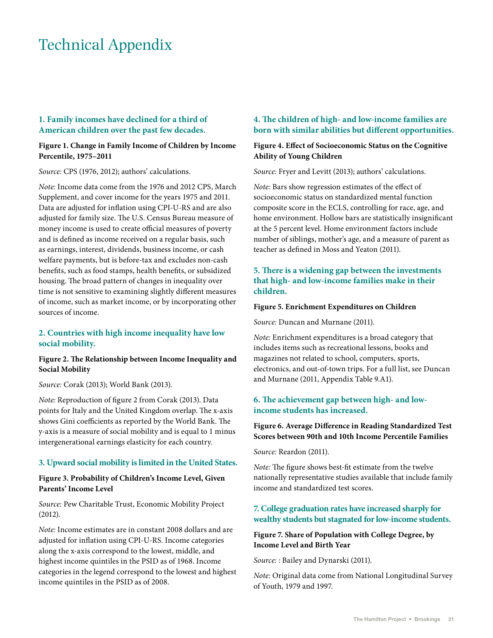## Technical Appendix

#### **1. Family incomes have declined for a third of American children over the past few decades.**

#### **Figure 1. Change in Family Income of Children by Income Percentile, 1975–2011**

*Source:* CPS (1976, 2012); authors' calculations.

*Note:* Income data come from the 1976 and 2012 CPS, March Supplement, and cover income for the years 1975 and 2011. Data are adjusted for inflation using CPI-U-RS and are also adjusted for family size. The U.S. Census Bureau measure of money income is used to create official measures of poverty and is defined as income received on a regular basis, such as earnings, interest, dividends, business income, or cash welfare payments, but is before-tax and excludes non-cash benefits, such as food stamps, health benefits, or subsidized housing. The broad pattern of changes in inequality over time is not sensitive to examining slightly different measures of income, such as market income, or by incorporating other sources of income.

#### **2. Countries with high income inequality have low social mobility.**

#### **Figure 2. The Relationship between Income Inequality and Social Mobility**

*Source:* Corak (2013); World Bank (2013).

*Note:* Reproduction of figure 2 from Corak (2013). Data points for Italy and the United Kingdom overlap. The x-axis shows Gini coefficients as reported by the World Bank. The y-axis is a measure of social mobility and is equal to 1 minus intergenerational earnings elasticity for each country.

#### **3. Upward social mobility is limited in the United States.**

#### **Figure 3. Probability of Children's Income Level, Given Parents' Income Level**

*Source:* Pew Charitable Trust, Economic Mobility Project (2012).

*Note:* Income estimates are in constant 2008 dollars and are adjusted for inflation using CPI-U-RS. Income categories along the x-axis correspond to the lowest, middle, and highest income quintiles in the PSID as of 1968. Income categories in the legend correspond to the lowest and highest income quintiles in the PSID as of 2008.

#### **4. The children of high- and low-income families are born with similar abilities but different opportunities.**

#### **Figure 4. Effect of Socioeconomic Status on the Cognitive Ability of Young Children**

*Source:* Fryer and Levitt (2013); authors' calculations.

*Note:* Bars show regression estimates of the effect of socioeconomic status on standardized mental function composite score in the ECLS, controlling for race, age, and home environment. Hollow bars are statistically insignificant at the 5 percent level. Home environment factors include number of siblings, mother's age, and a measure of parent as teacher as defined in Moss and Yeaton (2011).

#### **5. There is a widening gap between the investments that high- and low-income families make in their children.**

#### **Figure 5. Enrichment Expenditures on Children**

*Source:* Duncan and Murnane (2011).

*Note:* Enrichment expenditures is a broad category that includes items such as recreational lessons, books and magazines not related to school, computers, sports, electronics, and out-of-town trips. For a full list, see Duncan and Murnane (2011, Appendix Table 9.A1).

#### **6. The achievement gap between high- and lowincome students has increased.**

#### **Figure 6. Average Difference in Reading Standardized Test Scores between 90th and 10th Income Percentile Families**

*Source:* Reardon (2011).

*Note:* The figure shows best-fit estimate from the twelve nationally representative studies available that include family income and standardized test scores.

#### **7. College graduation rates have increased sharply for wealthy students but stagnated for low-income students.**

#### **Figure 7. Share of Population with College Degree, by Income Level and Birth Year**

*Source:* : Bailey and Dynarski (2011).

*Note:* Original data come from National Longitudinal Survey of Youth, 1979 and 1997.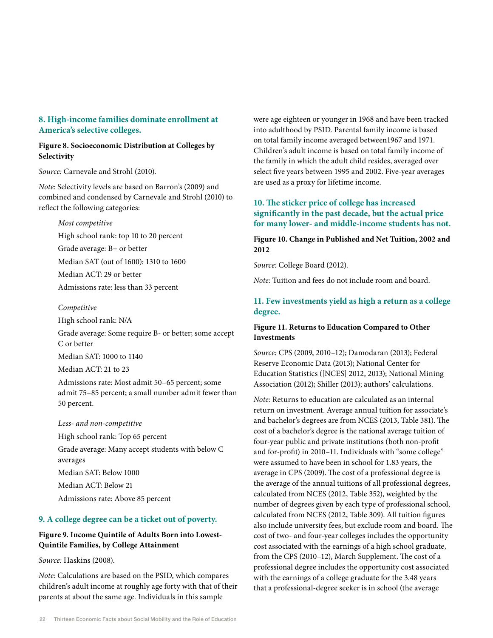#### **8. High-income families dominate enrollment at America's selective colleges.**

#### **Figure 8. Socioeconomic Distribution at Colleges by Selectivity**

*Source:* Carnevale and Strohl (2010).

*Note:* Selectivity levels are based on Barron's (2009) and combined and condensed by Carnevale and Strohl (2010) to reflect the following categories:

#### *Most competitive*

High school rank: top 10 to 20 percent Grade average: B+ or better Median SAT (out of 1600): 1310 to 1600 Median ACT: 29 or better Admissions rate: less than 33 percent

#### *Competitive*

High school rank: N/A

Grade average: Some require B- or better; some accept C or better

Median SAT: 1000 to 1140

Median ACT: 21 to 23

Admissions rate: Most admit 50–65 percent; some admit 75–85 percent; a small number admit fewer than 50 percent.

*Less- and non-competitive*

High school rank: Top 65 percent Grade average: Many accept students with below C averages Median SAT: Below 1000 Median ACT: Below 21 Admissions rate: Above 85 percent

#### **9. A college degree can be a ticket out of poverty.**

#### **Figure 9. Income Quintile of Adults Born into Lowest-Quintile Families, by College Attainment**

*Source:* Haskins (2008).

*Note:* Calculations are based on the PSID, which compares children's adult income at roughly age forty with that of their parents at about the same age. Individuals in this sample

were age eighteen or younger in 1968 and have been tracked into adulthood by PSID. Parental family income is based on total family income averaged between1967 and 1971. Children's adult income is based on total family income of the family in which the adult child resides, averaged over select five years between 1995 and 2002. Five-year averages are used as a proxy for lifetime income.

#### **10. The sticker price of college has increased significantly in the past decade, but the actual price for many lower- and middle-income students has not.**

#### **Figure 10. Change in Published and Net Tuition, 2002 and 2012**

*Source:* College Board (2012).

*Note:* Tuition and fees do not include room and board.

#### **11. Few investments yield as high a return as a college degree.**

#### **Figure 11. Returns to Education Compared to Other Investments**

*Source:* CPS (2009, 2010–12); Damodaran (2013); Federal Reserve Economic Data (2013); National Center for Education Statistics ([NCES] 2012, 2013); National Mining Association (2012); Shiller (2013); authors' calculations.

*Note:* Returns to education are calculated as an internal return on investment. Average annual tuition for associate's and bachelor's degrees are from NCES (2013, Table 381). The cost of a bachelor's degree is the national average tuition of four-year public and private institutions (both non-profit and for-profit) in 2010–11. Individuals with "some college" were assumed to have been in school for 1.83 years, the average in CPS (2009). The cost of a professional degree is the average of the annual tuitions of all professional degrees, calculated from NCES (2012, Table 352), weighted by the number of degrees given by each type of professional school, calculated from NCES (2012, Table 309). All tuition figures also include university fees, but exclude room and board. The cost of two- and four-year colleges includes the opportunity cost associated with the earnings of a high school graduate, from the CPS (2010–12), March Supplement. The cost of a professional degree includes the opportunity cost associated with the earnings of a college graduate for the 3.48 years that a professional-degree seeker is in school (the average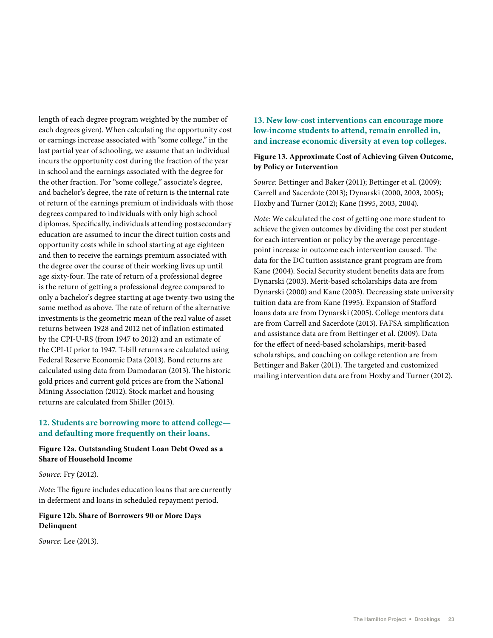length of each degree program weighted by the number of each degrees given). When calculating the opportunity cost or earnings increase associated with "some college," in the last partial year of schooling, we assume that an individual incurs the opportunity cost during the fraction of the year in school and the earnings associated with the degree for the other fraction. For "some college," associate's degree, and bachelor's degree, the rate of return is the internal rate of return of the earnings premium of individuals with those degrees compared to individuals with only high school diplomas. Specifically, individuals attending postsecondary education are assumed to incur the direct tuition costs and opportunity costs while in school starting at age eighteen and then to receive the earnings premium associated with the degree over the course of their working lives up until age sixty-four. The rate of return of a professional degree is the return of getting a professional degree compared to only a bachelor's degree starting at age twenty-two using the same method as above. The rate of return of the alternative investments is the geometric mean of the real value of asset returns between 1928 and 2012 net of inflation estimated by the CPI-U-RS (from 1947 to 2012) and an estimate of the CPI-U prior to 1947. T-bill returns are calculated using Federal Reserve Economic Data (2013). Bond returns are calculated using data from Damodaran (2013). The historic gold prices and current gold prices are from the National Mining Association (2012). Stock market and housing returns are calculated from Shiller (2013).

#### **12. Students are borrowing more to attend college and defaulting more frequently on their loans.**

#### **Figure 12a. Outstanding Student Loan Debt Owed as a Share of Household Income**

*Source:* Fry (2012).

*Note:* The figure includes education loans that are currently in deferment and loans in scheduled repayment period.

#### **Figure 12b. Share of Borrowers 90 or More Days Delinquent**

*Source:* Lee (2013).

#### **13. New low-cost interventions can encourage more low-income students to attend, remain enrolled in, and increase economic diversity at even top colleges.**

#### **Figure 13. Approximate Cost of Achieving Given Outcome, by Policy or Intervention**

*Source:* Bettinger and Baker (2011); Bettinger et al. (2009); Carrell and Sacerdote (2013); Dynarski (2000, 2003, 2005); Hoxby and Turner (2012); Kane (1995, 2003, 2004).

*Note:* We calculated the cost of getting one more student to achieve the given outcomes by dividing the cost per student for each intervention or policy by the average percentagepoint increase in outcome each intervention caused. The data for the DC tuition assistance grant program are from Kane (2004). Social Security student benefits data are from Dynarski (2003). Merit-based scholarships data are from Dynarski (2000) and Kane (2003). Decreasing state university tuition data are from Kane (1995). Expansion of Stafford loans data are from Dynarski (2005). College mentors data are from Carrell and Sacerdote (2013). FAFSA simplification and assistance data are from Bettinger et al. (2009). Data for the effect of need-based scholarships, merit-based scholarships, and coaching on college retention are from Bettinger and Baker (2011). The targeted and customized mailing intervention data are from Hoxby and Turner (2012).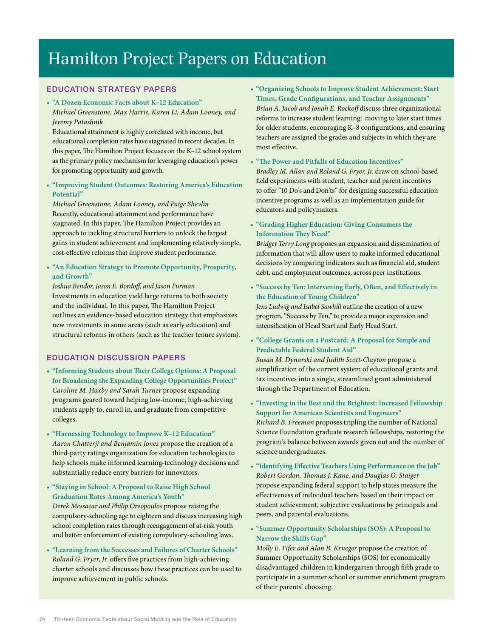## Hamilton Project Papers on Education

#### EDUCATION STRATEGY PAPERS

**• "A Dozen Economic Facts about K–12 Education"** *Michael Greenstone, Max Harris, Karen Li, Adam Looney, and Jeremy Patashnik*

Educational attainment is highly correlated with income, but educational completion rates have stagnated in recent decades. In this paper, The Hamilton Project focuses on the K–12 school system as the primary policy mechanism for leveraging education's power for promoting opportunity and growth.

**• "Improving Student Outcomes: Restoring America's Education Potential"**

*Michael Greenstone, Adam Looney, and Paige Shevlin* Recently, educational attainment and performance have stagnated. In this paper, The Hamilton Project provides an approach to tackling structural barriers to unlock the largest gains in student achievement and implementing relatively simple, cost-effective reforms that improve student performance.

**• "An Education Strategy to Promote Opportunity, Prosperity, and Growth"**

*Joshua Bendor, Jason E. Bordoff, and Jason Furman* Investments in education yield large returns to both society and the individual. In this paper, The Hamilton Project outlines an evidence-based education strategy that emphasizes new investments in some areas (such as early education) and structural reforms in others (such as the teacher tenure system).

#### EDUCATION DISCUSSION PAPERS

- **• "Informing Students about Their College Options: A Proposal for Broadening the Expanding College Opportunities Project"** *Caroline M. Hoxby and Sarah Turner* propose expanding programs geared toward helping low-income, high-achieving students apply to, enroll in, and graduate from competitive colleges.
- **• "Harnessing Technology to Improve K–12 Education"** *Aaron Chatterji and Benjamin Jones* propose the creation of a third-party ratings organization for education technologies to help schools make informed learning-technology decisions and substantially reduce entry barriers for innovators.
- **• "Staying in School: A Proposal to Raise High School Graduation Rates Among America's Youth"** *Derek Messacar and Philip Oreopoulos* propose raising the compulsory-schooling age to eighteen and discuss increasing high school completion rates through reengagement of at-risk youth and better enforcement of existing compulsory-schooling laws.
- **• "Learning from the Successes and Failures of Charter Schools"** *Roland G. Fryer, Jr.* offers five practices from high-achieving charter schools and discusses how these practices can be used to improve achievement in public schools.
- **• "Organizing Schools to Improve Student Achievement: Start Times, Grade Configurations, and Teacher Assignments"** *Brian A. Jacob and Jonah E. Rockoff* discuss three organizational reforms to increase student learning: moving to later start times for older students, encouraging K–8 configurations, and ensuring teachers are assigned the grades and subjects in which they are most effective.
- **• "The Power and Pitfalls of Education Incentives"**

*Bradley M. Allan and Roland G. Fryer, Jr.* draw on school-based field experiments with student, teacher and parent incentives to offer "10 Do's and Don'ts" for designing successful education incentive programs as well as an implementation guide for educators and policymakers.

**• "Grading Higher Education: Giving Consumers the Information They Need"**

*Bridget Terry Long* proposes an expansion and dissemination of information that will allow users to make informed educational decisions by comparing indicators such as financial aid, student debt, and employment outcomes, across peer institutions.

**• "Success by Ten: Intervening Early, Often, and Effectively in the Education of Young Children"**

*Jens Ludwig and Isabel Sawhill* outline the creation of a new program, "Success by Ten," to provide a major expansion and intensification of Head Start and Early Head Start.

**• "College Grants on a Postcard: A Proposal for Simple and Predictable Federal Student Aid"**

*Susan M. Dynarski and Judith Scott-Clayton* propose a simplification of the current system of educational grants and tax incentives into a single, streamlined grant administered through the Department of Education.

- **• "Investing in the Best and the Brightest: Increased Fellowship Support for American Scientists and Engineers"** *Richard B. Freeman* proposes tripling the number of National Science Foundation graduate research fellowships, restoring the program's balance between awards given out and the number of science undergraduates.
- **• "Identifying Effective Teachers Using Performance on the Job"** *Robert Gordon, Thomas J. Kane, and Douglas O. Staiger*  propose expanding federal support to help states measure the effectiveness of individual teachers based on their impact on student achievement, subjective evaluations by principals and peers, and parental evaluations.
- **• "Summer Opportunity Scholarships (SOS): A Proposal to Narrow the Skills Gap"**

*Molly E. Fifer and Alan B. Krueger* propose the creation of Summer Opportunity Scholarships (SOS) for economically disadvantaged children in kindergarten through fifth grade to participate in a summer school or summer enrichment program of their parents' choosing.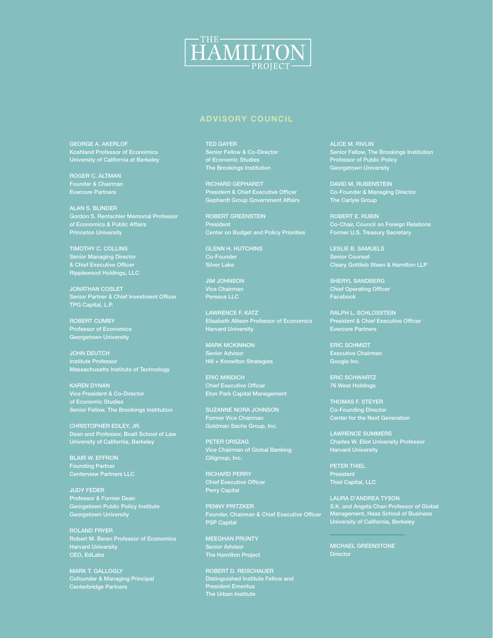

#### **Advisory Council**

George A. Akerlof Koshland Professor of Economics University of California at Berkeley

Roger C. Altman Evercore Partners

Alan S. Blinder Gordon S. Rentschler Memorial Professor of Economics & Public Affairs Princeton University

Timothy C. Collins Senior Managing Director Ripplewood Holdings, LLC

Jonathan Coslet Senior Partner & Chief Investment Officer TPG Capital, L.P.

ROBERT CUMBY Georgetown University

**JOHN DEUTCH** Institute Professor Massachusetts Institute of Technology

Karen Dynan Vice President & Co-Director of Economic Studies Senior Fellow, The Brookings Institution

Dean and Professor, Boalt School of Law University of California, Berkeley

Blair W. Effron Founding Partner

Judy Feder Georgetown Public Policy Institute Georgetown University

Roland Fryer Robert M. Beren Professor of Economics Harvard University CEO, EdLabs

Mark T. Gallogly Cofounder & Managing Principal Centerbridge Partners

Ted Gayer Senior Fellow & Co-Director of Economic Studies The Brookings Institution

Richard Gephardt President & Chief Executive Officer Gephardt Group Government Affairs

Robert Greenstein President

**GLENN H. HUTCHINS** 

Jim Johnson Vice Chairman Perseus LLC

Lawrence F. Katz Elisabeth Allison Professor of Economics Harvard University

**MARK MCKINNON** Senior Advisor Hill + Knowlton Strategies

Eric Mindich Chief Executive Officer Eton Park Capital Management

Suzanne Nora Johnson Former Vice Chairman Goldman Sachs Group, Inc.

Peter Orszag Citigroup, Inc.

Richard Perry Perry Capital

Penny Pritzker Founder, Chairman & Chief Executive Officer PSP Capital

Meeghan Prunty Senior Advisor The Hamilton Project

Robert D. Reischauer Distinguished Institute Fellow and President Emeritus The Urban Institute

Alice M. Rivlin Senior Fellow, The Brookings Institution Professor of Public Policy Georgetown University

David M. Rubenstein

Robert E. Rubin Co-Chair, Council on Foreign Relations Former U.S. Treasury Secretary

Leslie B. Samuels Cleary Gottlieb Steen & Hamilton LLP

SHERYL SANDBERG Chief Operating Officer Facebook

Ralph L. Schlosstein President & Chief Executive Officer

Eric Schmidt Google Inc.

Eric Schwartz 76 West Holdings

Thomas F. Steyer Co-Founding Director

Lawrence Summers Charles W. Eliot University Professor Harvard University

Peter Thiel President Thiel Capital, LLC

Laura D'Andrea Tyson S.K. and Angela Chan Professor of Global Management, Haas School of Business University of California, Berkeley

Michael Greenstone